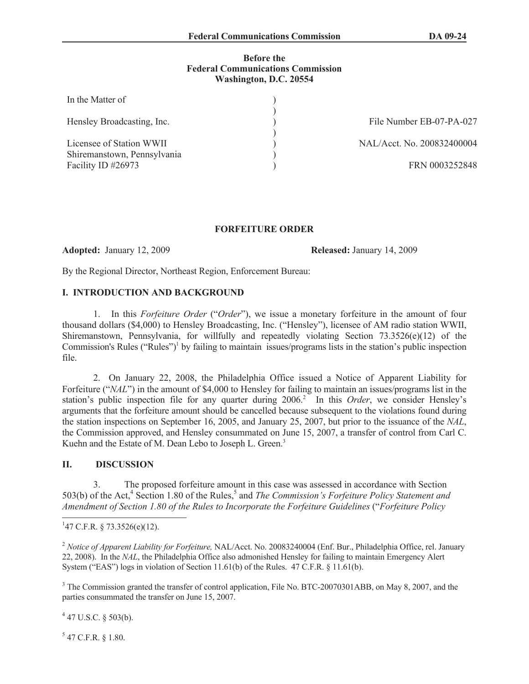### **Before the Federal Communications Commission Washington, D.C. 20554**

| In the Matter of            |                            |
|-----------------------------|----------------------------|
| Hensley Broadcasting, Inc.  | File Number EB-07-PA-027   |
| Licensee of Station WWII    | NAL/Acct. No. 200832400004 |
| Shiremanstown, Pennsylvania |                            |
| Facility ID #26973          | FRN 0003252848             |

## **FORFEITURE ORDER**

**Adopted:** January 12, 2009 **Released:** January 14, 2009

By the Regional Director, Northeast Region, Enforcement Bureau:

# **I. INTRODUCTION AND BACKGROUND**

1. In this *Forfeiture Order* ("*Order*"), we issue a monetary forfeiture in the amount of four thousand dollars (\$4,000) to Hensley Broadcasting, Inc. ("Hensley"), licensee of AM radio station WWII, Shiremanstown, Pennsylvania, for willfully and repeatedly violating Section 73.3526(e)(12) of the Commission's Rules ("Rules")<sup>1</sup> by failing to maintain issues/programs lists in the station's public inspection file.

2. On January 22, 2008, the Philadelphia Office issued a Notice of Apparent Liability for Forfeiture ("*NAL*") in the amount of \$4,000 to Hensley for failing to maintain an issues/programs list in the station's public inspection file for any quarter during 2006.<sup>2</sup> In this *Order*, we consider Hensley's arguments that the forfeiture amount should be cancelled because subsequent to the violations found during the station inspections on September 16, 2005, and January 25, 2007, but prior to the issuance of the *NAL*, the Commission approved, and Hensley consummated on June 15, 2007, a transfer of control from Carl C. Kuehn and the Estate of M. Dean Lebo to Joseph L. Green.<sup>3</sup>

## **II. DISCUSSION**

3. The proposed forfeiture amount in this case was assessed in accordance with Section 503(b) of the Act,<sup>4</sup> Section 1.80 of the Rules,<sup>5</sup> and *The Commission's Forfeiture Policy Statement and Amendment of Section 1.80 of the Rules to Incorporate the Forfeiture Guidelines* ("*Forfeiture Policy* 

 $4$  47 U.S.C. § 503(b).

 $5$  47 C.F.R. § 1.80.

 $147$  C.F.R. § 73.3526(e)(12).

<sup>2</sup> *Notice of Apparent Liability for Forfeiture,* NAL/Acct. No. 20083240004 (Enf. Bur., Philadelphia Office, rel. January 22, 2008). In the *NAL*, the Philadelphia Office also admonished Hensley for failing to maintain Emergency Alert System ("EAS") logs in violation of Section 11.61(b) of the Rules. 47 C.F.R. § 11.61(b).

<sup>&</sup>lt;sup>3</sup> The Commission granted the transfer of control application, File No. BTC-20070301ABB, on May 8, 2007, and the parties consummated the transfer on June 15, 2007.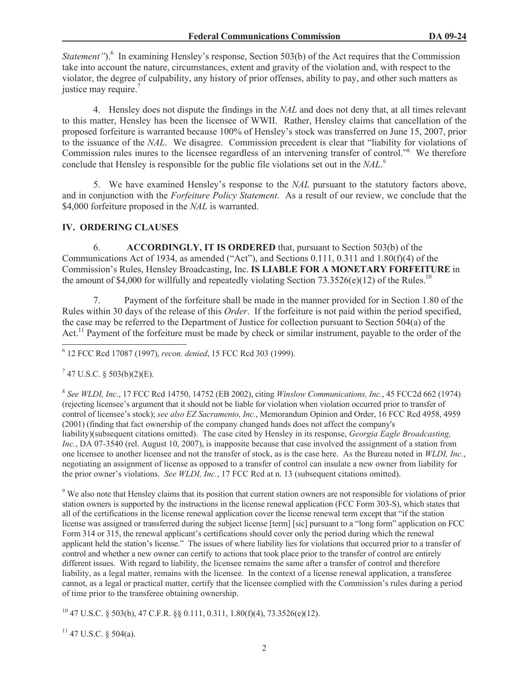*Statement*").<sup>6</sup> In examining Hensley's response, Section 503(b) of the Act requires that the Commission take into account the nature, circumstances, extent and gravity of the violation and, with respect to the violator, the degree of culpability, any history of prior offenses, ability to pay, and other such matters as justice may require.<sup>7</sup>

4. Hensley does not dispute the findings in the *NAL* and does not deny that, at all times relevant to this matter, Hensley has been the licensee of WWII. Rather, Hensley claims that cancellation of the proposed forfeiture is warranted because 100% of Hensley's stock was transferred on June 15, 2007, prior to the issuance of the *NAL*. We disagree. Commission precedent is clear that "liability for violations of Commission rules inures to the licensee regardless of an intervening transfer of control."<sup>8</sup> We therefore conclude that Hensley is responsible for the public file violations set out in the *NAL*. 9

5. We have examined Hensley's response to the *NAL* pursuant to the statutory factors above, and in conjunction with the *Forfeiture Policy Statement*. As a result of our review, we conclude that the \$4,000 forfeiture proposed in the *NAL* is warranted.

# **IV. ORDERING CLAUSES**

6. **ACCORDINGLY, IT IS ORDERED** that, pursuant to Section 503(b) of the Communications Act of 1934, as amended ("Act"), and Sections 0.111, 0.311 and 1.80(f)(4) of the Commission's Rules, Hensley Broadcasting, Inc. **IS LIABLE FOR A MONETARY FORFEITURE** in the amount of \$4,000 for willfully and repeatedly violating Section 73.3526(e)(12) of the Rules.<sup>10</sup>

7. Payment of the forfeiture shall be made in the manner provided for in Section 1.80 of the Rules within 30 days of the release of this *Order*. If the forfeiture is not paid within the period specified, the case may be referred to the Department of Justice for collection pursuant to Section 504(a) of the Act.<sup>11</sup> Payment of the forfeiture must be made by check or similar instrument, payable to the order of the

6 12 FCC Rcd 17087 (1997), *recon. denied*, 15 FCC Rcd 303 (1999).

## $7$  47 U.S.C. § 503(b)(2)(E).

8 *See WLDI, Inc.*, 17 FCC Rcd 14750, 14752 (EB 2002), citing *Winslow Communications, Inc.*, 45 FCC2d 662 (1974) (rejecting licensee's argument that it should not be liable for violation when violation occurred prior to transfer of control of licensee's stock); *see also EZ Sacramento, Inc.*, Memorandum Opinion and Order, 16 FCC Rcd 4958, 4959 (2001) (finding that fact ownership of the company changed hands does not affect the company's liability)(subsequent citations omitted). The case cited by Hensley in its response, *Georgia Eagle Broadcasting, Inc.*, DA 07-3540 (rel. August 10, 2007), is inapposite because that case involved the assignment of a station from one licensee to another licensee and not the transfer of stock, as is the case here. As the Bureau noted in *WLDI, Inc.*, negotiating an assignment of license as opposed to a transfer of control can insulate a new owner from liability for the prior owner's violations. *See WLDI, Inc.*, 17 FCC Rcd at n. 13 (subsequent citations omitted).

<sup>9</sup> We also note that Hensley claims that its position that current station owners are not responsible for violations of prior station owners is supported by the instructions in the license renewal application (FCC Form 303-S), which states that all of the certifications in the license renewal application cover the license renewal term except that "if the station license was assigned or transferred during the subject license [term] [sic] pursuant to a "long form" application on FCC Form 314 or 315, the renewal applicant's certifications should cover only the period during which the renewal applicant held the station's license." The issues of where liability lies for violations that occurred prior to a transfer of control and whether a new owner can certify to actions that took place prior to the transfer of control are entirely different issues. With regard to liability, the licensee remains the same after a transfer of control and therefore liability, as a legal matter, remains with the licensee. In the context of a license renewal application, a transferee cannot, as a legal or practical matter, certify that the licensee complied with the Commission's rules during a period of time prior to the transferee obtaining ownership.

 $^{10}$  47 U.S.C. § 503(b), 47 C.F.R. §§ 0.111, 0.311, 1.80(f)(4), 73.3526(e)(12).

 $11$  47 U.S.C. § 504(a).